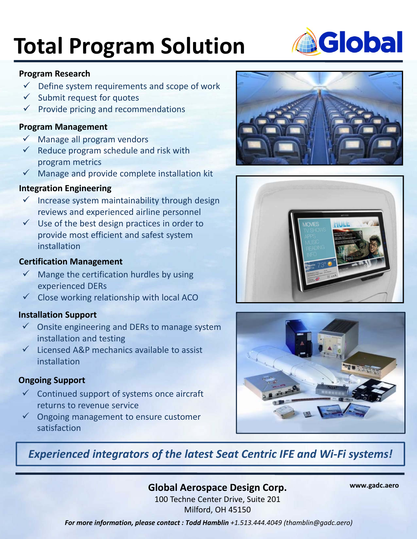# **Total Program Solution**

#### **Program Research**

- $\checkmark$  Define system requirements and scope of work
- $\checkmark$  Submit request for quotes
- $\checkmark$  Provide pricing and recommendations

#### **Program Management**

- $\checkmark$  Manage all program vendors
- $\checkmark$  Reduce program schedule and risk with program metrics
- $\checkmark$  Manage and provide complete installation kit

### **Integration Engineering**

- $\checkmark$  Increase system maintainability through design reviews and experienced airline personnel
- $\checkmark$  Use of the best design practices in order to provide most efficient and safest system installation

#### **Certification Management**

- $\checkmark$  Mange the certification hurdles by using experienced DERs
- $\checkmark$  Close working relationship with local ACO

#### **Installation Support**

- $\checkmark$  Onsite engineering and DERs to manage system installation and testing
- $\checkmark$  Licensed A&P mechanics available to assist installation

#### **Ongoing Support**

- $\checkmark$  Continued support of systems once aircraft returns to revenue service
- $\checkmark$  Ongoing management to ensure customer satisfaction







## *Experienced integrators of the latest Seat Centric IFE and Wi‐Fi systems!*

### **Global Aerospace Design Corp.**

**www.gadc.aero**

100 Techne Center Drive, Suite 201 Milford, OH 45150

*For more information, please contact : Todd Hamblin +1.513.444.4049 (thamblin@gadc.aero)*